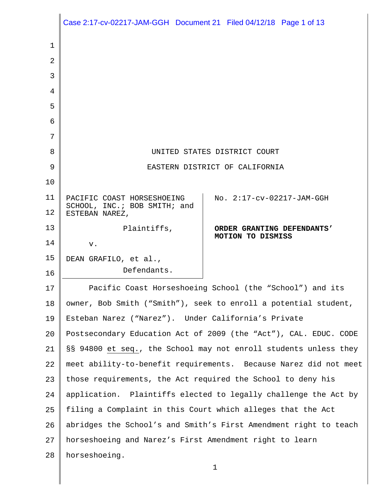|                | Case 2:17-cv-02217-JAM-GGH  Document 21  Filed 04/12/18  Page 1 of 13 |                            |  |
|----------------|-----------------------------------------------------------------------|----------------------------|--|
| 1              |                                                                       |                            |  |
| $\overline{2}$ |                                                                       |                            |  |
| 3              |                                                                       |                            |  |
| 4              |                                                                       |                            |  |
| 5              |                                                                       |                            |  |
| 6              |                                                                       |                            |  |
| 7              |                                                                       |                            |  |
| 8              | UNITED STATES DISTRICT COURT                                          |                            |  |
| 9              | EASTERN DISTRICT OF CALIFORNIA                                        |                            |  |
| 10             |                                                                       |                            |  |
| 11             | PACIFIC COAST HORSESHOEING                                            | No. 2:17-cv-02217-JAM-GGH  |  |
| 12             | SCHOOL, INC.; BOB SMITH; and<br>ESTEBAN NAREZ,                        |                            |  |
| 13             | Plaintiffs,                                                           | ORDER GRANTING DEFENDANTS' |  |
| 14             | v.                                                                    | MOTION TO DISMISS          |  |
| 15             | DEAN GRAFILO, et al.,                                                 |                            |  |
| 16             | Defendants.                                                           |                            |  |
| 17             | Pacific Coast Horseshoeing School (the "School") and its              |                            |  |
| 18             | owner, Bob Smith ("Smith"), seek to enroll a potential student,       |                            |  |
| 19             | Esteban Narez ("Narez"). Under California's Private                   |                            |  |
| 20             | Postsecondary Education Act of 2009 (the "Act"), CAL. EDUC. CODE      |                            |  |
| 21             | §§ 94800 et seq., the School may not enroll students unless they      |                            |  |
| 22             | meet ability-to-benefit requirements. Because Narez did not meet      |                            |  |
| 23             | those requirements, the Act required the School to deny his           |                            |  |
| 24             | application. Plaintiffs elected to legally challenge the Act by       |                            |  |
| 25             | filing a Complaint in this Court which alleges that the Act           |                            |  |
| 26             | abridges the School's and Smith's First Amendment right to teach      |                            |  |
| 27             | horseshoeing and Narez's First Amendment right to learn               |                            |  |
| 28             | horseshoeing.                                                         |                            |  |
|                |                                                                       | $\mathbf 1$                |  |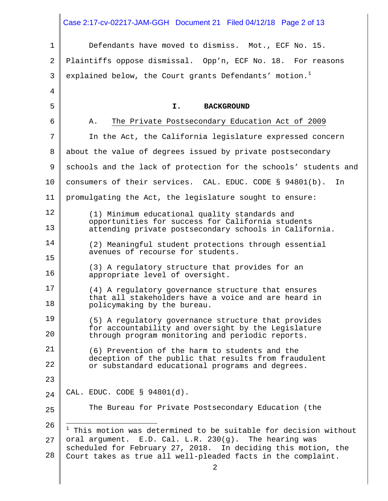<span id="page-1-0"></span>1 2 3 4 5 6 7 8 9 10 11 12 13 14 15 16 17 18 19 20 21 22 23 24 25 26 27 28 2 Defendants have moved to dismiss. Mot., ECF No. 15. Plaintiffs oppose dismissal. Opp'n, ECF No. 18. For reasons explained below, the Court grants Defendants' motion.<sup>[1](#page-1-0)</sup> **I. BACKGROUND** A. The Private Postsecondary Education Act of 2009 In the Act, the California legislature expressed concern about the value of degrees issued by private postsecondary schools and the lack of protection for the schools' students and consumers of their services. CAL. EDUC. CODE § 94801(b). In promulgating the Act, the legislature sought to ensure: (1) Minimum educational quality standards and opportunities for success for California students attending private postsecondary schools in California. (2) Meaningful student protections through essential avenues of recourse for students. (3) A regulatory structure that provides for an appropriate level of oversight. (4) A regulatory governance structure that ensures that all stakeholders have a voice and are heard in policymaking by the bureau. (5) A regulatory governance structure that provides for accountability and oversight by the Legislature through program monitoring and periodic reports. (6) Prevention of the harm to students and the deception of the public that results from fraudulent or substandard educational programs and degrees. CAL. EDUC. CODE § 94801(d). The Bureau for Private Postsecondary Education (the  $\frac{1}{1}$ <sup>1</sup> This motion was determined to be suitable for decision without oral argument. E.D. Cal. L.R. 230(g). The hearing was scheduled for February 27, 2018. In deciding this motion, the Court takes as true all well-pleaded facts in the complaint. Case 2:17-cv-02217-JAM-GGH Document 21 Filed 04/12/18 Page 2 of 13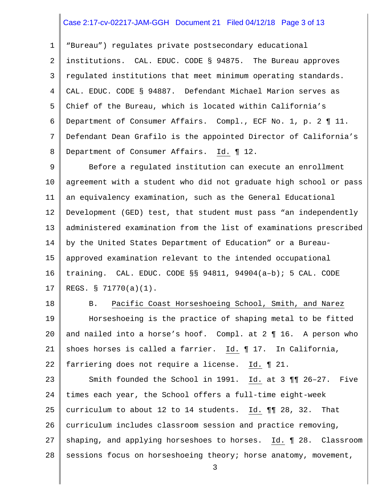#### Case 2:17-cv-02217-JAM-GGH Document 21 Filed 04/12/18 Page 3 of 13

1 2 3 4 5 6 7 8 "Bureau") regulates private postsecondary educational institutions. CAL. EDUC. CODE § 94875. The Bureau approves regulated institutions that meet minimum operating standards. CAL. EDUC. CODE § 94887. Defendant Michael Marion serves as Chief of the Bureau, which is located within California's Department of Consumer Affairs. Compl., ECF No. 1, p. 2 ¶ 11. Defendant Dean Grafilo is the appointed Director of California's Department of Consumer Affairs. Id. ¶ 12.

9 10 11 12 13 14 15 16 17 Before a regulated institution can execute an enrollment agreement with a student who did not graduate high school or pass an equivalency examination, such as the General Educational Development (GED) test, that student must pass "an independently administered examination from the list of examinations prescribed by the United States Department of Education" or a Bureauapproved examination relevant to the intended occupational training. CAL. EDUC. CODE §§ 94811, 94904(a–b); 5 CAL. CODE REGS. § 71770(a)(1).

18

19

20

21

22

B. Pacific Coast Horseshoeing School, Smith, and Narez Horseshoeing is the practice of shaping metal to be fitted and nailed into a horse's hoof. Compl. at 2 ¶ 16. A person who shoes horses is called a farrier. Id. ¶ 17. In California, farriering does not require a license. Id. ¶ 21.

23 24 25 26 27 28 Smith founded the School in 1991. Id. at 3 ¶¶ 26–27. Five times each year, the School offers a full-time eight-week curriculum to about 12 to 14 students. Id. ¶¶ 28, 32. That curriculum includes classroom session and practice removing, shaping, and applying horseshoes to horses. Id. 1 28. Classroom sessions focus on horseshoeing theory; horse anatomy, movement,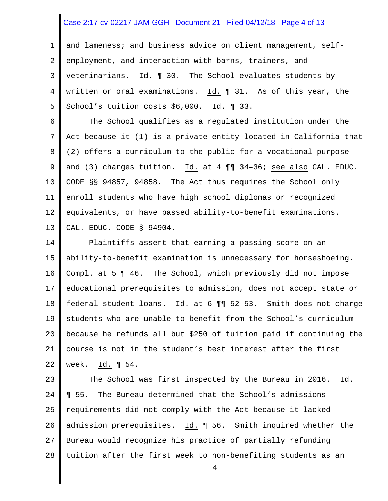#### Case 2:17-cv-02217-JAM-GGH Document 21 Filed 04/12/18 Page 4 of 13

1 2 3 4 5 and lameness; and business advice on client management, selfemployment, and interaction with barns, trainers, and veterinarians. Id. ¶ 30. The School evaluates students by written or oral examinations. Id. ¶ 31. As of this year, the School's tuition costs \$6,000. Id. ¶ 33.

6 7 8 9 10 11 12 13 The School qualifies as a regulated institution under the Act because it (1) is a private entity located in California that (2) offers a curriculum to the public for a vocational purpose and (3) charges tuition. Id. at 4 ¶¶ 34–36; see also CAL. EDUC. CODE §§ 94857, 94858. The Act thus requires the School only enroll students who have high school diplomas or recognized equivalents, or have passed ability-to-benefit examinations. CAL. EDUC. CODE § 94904.

14 15 16 17 18 19 20 21 22 Plaintiffs assert that earning a passing score on an ability-to-benefit examination is unnecessary for horseshoeing. Compl. at 5 ¶ 46. The School, which previously did not impose educational prerequisites to admission, does not accept state or federal student loans. Id. at 6 ¶¶ 52–53. Smith does not charge students who are unable to benefit from the School's curriculum because he refunds all but \$250 of tuition paid if continuing the course is not in the student's best interest after the first week. Id. ¶ 54.

23 24 25 26 27 28 The School was first inspected by the Bureau in 2016. Id. ¶ 55. The Bureau determined that the School's admissions requirements did not comply with the Act because it lacked admission prerequisites. Id. ¶ 56. Smith inquired whether the Bureau would recognize his practice of partially refunding tuition after the first week to non-benefiting students as an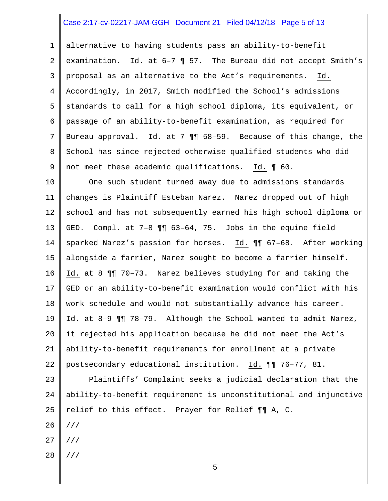## Case 2:17-cv-02217-JAM-GGH Document 21 Filed 04/12/18 Page 5 of 13

1 2 3 4 5 6 7 8 9 alternative to having students pass an ability-to-benefit examination. Id. at 6–7 ¶ 57. The Bureau did not accept Smith's proposal as an alternative to the Act's requirements. Id. Accordingly, in 2017, Smith modified the School's admissions standards to call for a high school diploma, its equivalent, or passage of an ability-to-benefit examination, as required for Bureau approval. Id. at 7 ¶¶ 58–59. Because of this change, the School has since rejected otherwise qualified students who did not meet these academic qualifications. Id. ¶ 60.

10 11 12 13 14 15 16 17 18 19 20 21 22 One such student turned away due to admissions standards changes is Plaintiff Esteban Narez. Narez dropped out of high school and has not subsequently earned his high school diploma or GED. Compl. at 7–8 ¶¶ 63–64, 75. Jobs in the equine field sparked Narez's passion for horses. Id. ¶¶ 67–68. After working alongside a farrier, Narez sought to become a farrier himself. Id. at 8 ¶¶ 70–73. Narez believes studying for and taking the GED or an ability-to-benefit examination would conflict with his work schedule and would not substantially advance his career. Id. at 8–9 ¶¶ 78–79. Although the School wanted to admit Narez, it rejected his application because he did not meet the Act's ability-to-benefit requirements for enrollment at a private postsecondary educational institution. Id. ¶¶ 76–77, 81.

23 24 25 26 Plaintiffs' Complaint seeks a judicial declaration that the ability-to-benefit requirement is unconstitutional and injunctive relief to this effect. Prayer for Relief ¶¶ A, C. ///

- 27 ///
- 28 ///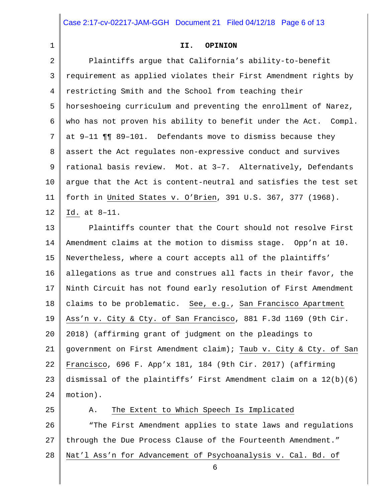Case 2:17-cv-02217-JAM-GGH Document 21 Filed 04/12/18 Page 6 of 13

1

#### **II. OPINION**

2 3 4 5 6 7 8 9 10 11 12 13 14 15 16 17 18 Plaintiffs argue that California's ability-to-benefit requirement as applied violates their First Amendment rights by restricting Smith and the School from teaching their horseshoeing curriculum and preventing the enrollment of Narez, who has not proven his ability to benefit under the Act. Compl. at 9–11 ¶¶ 89–101. Defendants move to dismiss because they assert the Act regulates non-expressive conduct and survives rational basis review. Mot. at 3–7. Alternatively, Defendants argue that the Act is content-neutral and satisfies the test set forth in United States v. O'Brien, 391 U.S. 367, 377 (1968). Id. at 8–11. Plaintiffs counter that the Court should not resolve First Amendment claims at the motion to dismiss stage. Opp'n at 10. Nevertheless, where a court accepts all of the plaintiffs' allegations as true and construes all facts in their favor, the Ninth Circuit has not found early resolution of First Amendment claims to be problematic. See, e.g., San Francisco Apartment

19 Ass'n v. City & Cty. of San Francisco, 881 F.3d 1169 (9th Cir.

20 21 22 23 24 2018) (affirming grant of judgment on the pleadings to government on First Amendment claim); Taub v. City & Cty. of San Francisco, 696 F. App'x 181, 184 (9th Cir. 2017) (affirming dismissal of the plaintiffs' First Amendment claim on a 12(b)(6) motion).

25 26 27 28 6 A. The Extent to Which Speech Is Implicated "The First Amendment applies to state laws and regulations through the Due Process Clause of the Fourteenth Amendment." Nat'l Ass'n for Advancement of Psychoanalysis v. Cal. Bd. of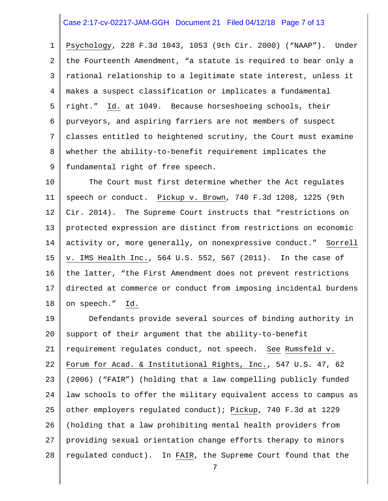#### Case 2:17-cv-02217-JAM-GGH Document 21 Filed 04/12/18 Page 7 of 13

1 2 3 4 5 6 7 8 9 Psychology, 228 F.3d 1043, 1053 (9th Cir. 2000) ("NAAP"). Under the Fourteenth Amendment, "a statute is required to bear only a rational relationship to a legitimate state interest, unless it makes a suspect classification or implicates a fundamental right." Id. at 1049. Because horseshoeing schools, their purveyors, and aspiring farriers are not members of suspect classes entitled to heightened scrutiny, the Court must examine whether the ability-to-benefit requirement implicates the fundamental right of free speech.

10 11 12 13 14 15 16 17 18 The Court must first determine whether the Act regulates speech or conduct. Pickup v. Brown, 740 F.3d 1208, 1225 (9th Cir. 2014). The Supreme Court instructs that "restrictions on protected expression are distinct from restrictions on economic activity or, more generally, on nonexpressive conduct." Sorrell v. IMS Health Inc., 564 U.S. 552, 567 (2011). In the case of the latter, "the First Amendment does not prevent restrictions directed at commerce or conduct from imposing incidental burdens on speech." Id.

19 20 21 22 23 24 25 26 27 28 Defendants provide several sources of binding authority in support of their argument that the ability-to-benefit requirement regulates conduct, not speech. See Rumsfeld v. Forum for Acad. & Institutional Rights, Inc., 547 U.S. 47, 62 (2006) ("FAIR") (holding that a law compelling publicly funded law schools to offer the military equivalent access to campus as other employers regulated conduct); Pickup, 740 F.3d at 1229 (holding that a law prohibiting mental health providers from providing sexual orientation change efforts therapy to minors regulated conduct). In FAIR, the Supreme Court found that the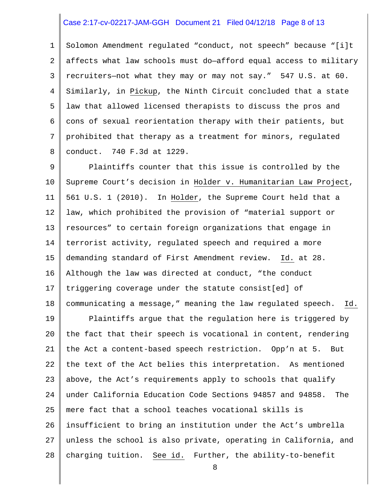## Case 2:17-cv-02217-JAM-GGH Document 21 Filed 04/12/18 Page 8 of 13

1 2 3 4 5 6 7 8 Solomon Amendment regulated "conduct, not speech" because "[i]t affects what law schools must do—afford equal access to military recruiters—not what they may or may not say." 547 U.S. at 60. Similarly, in Pickup, the Ninth Circuit concluded that a state law that allowed licensed therapists to discuss the pros and cons of sexual reorientation therapy with their patients, but prohibited that therapy as a treatment for minors, regulated conduct. 740 F.3d at 1229.

9 10 11 12 13 14 15 16 17 18 Plaintiffs counter that this issue is controlled by the Supreme Court's decision in Holder v. Humanitarian Law Project, 561 U.S. 1 (2010). In Holder, the Supreme Court held that a law, which prohibited the provision of "material support or resources" to certain foreign organizations that engage in terrorist activity, regulated speech and required a more demanding standard of First Amendment review. Id. at 28. Although the law was directed at conduct, "the conduct triggering coverage under the statute consist[ed] of communicating a message," meaning the law regulated speech. Id.

19 20 21 22 23 24 25 26 27 28 Plaintiffs argue that the regulation here is triggered by the fact that their speech is vocational in content, rendering the Act a content-based speech restriction. Opp'n at 5. But the text of the Act belies this interpretation. As mentioned above, the Act's requirements apply to schools that qualify under California Education Code Sections 94857 and 94858. The mere fact that a school teaches vocational skills is insufficient to bring an institution under the Act's umbrella unless the school is also private, operating in California, and charging tuition. See id. Further, the ability-to-benefit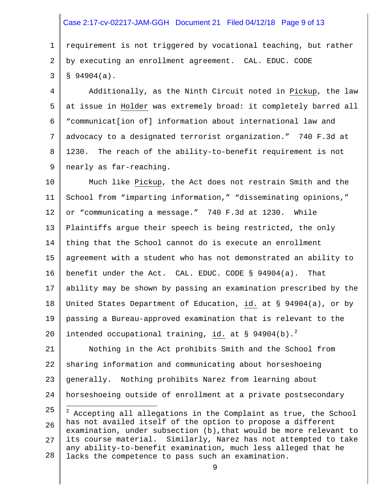## Case 2:17-cv-02217-JAM-GGH Document 21 Filed 04/12/18 Page 9 of 13

1 2 3 requirement is not triggered by vocational teaching, but rather by executing an enrollment agreement. CAL. EDUC. CODE  $$94904(a).$ 

4 5 6 7 8 9 Additionally, as the Ninth Circuit noted in Pickup, the law at issue in Holder was extremely broad: it completely barred all "communicat[ion of] information about international law and advocacy to a designated terrorist organization." 740 F.3d at 1230. The reach of the ability-to-benefit requirement is not nearly as far-reaching.

10 11 12 13 14 15 16 17 18 19 20 Much like Pickup, the Act does not restrain Smith and the School from "imparting information," "disseminating opinions," or "communicating a message." 740 F.3d at 1230. While Plaintiffs argue their speech is being restricted, the only thing that the School cannot do is execute an enrollment agreement with a student who has not demonstrated an ability to benefit under the Act. CAL. EDUC. CODE § 94904(a). That ability may be shown by passing an examination prescribed by the United States Department of Education, id. at § 94904(a), or by passing a Bureau-approved examination that is relevant to the intended occupational training,  $id.$  at § 94904(b).<sup>[2](#page-8-0)</sup>

21 22 23 24 Nothing in the Act prohibits Smith and the School from sharing information and communicating about horseshoeing generally. Nothing prohibits Narez from learning about horseshoeing outside of enrollment at a private postsecondary

<span id="page-8-0"></span><sup>25</sup> 26 27 28  $\overline{a}$ <sup>2</sup> Accepting all allegations in the Complaint as true, the School has not availed itself of the option to propose a different examination, under subsection (b),that would be more relevant to its course material. Similarly, Narez has not attempted to take any ability-to-benefit examination, much less alleged that he lacks the competence to pass such an examination.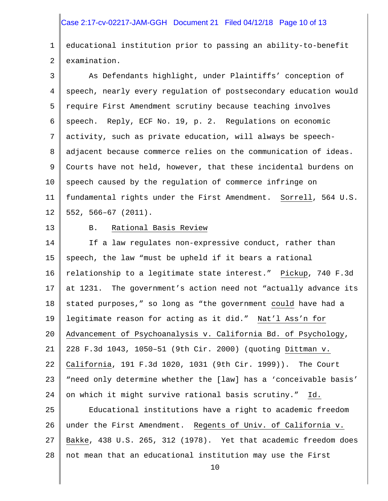## Case 2:17-cv-02217-JAM-GGH Document 21 Filed 04/12/18 Page 10 of 13

1 2 educational institution prior to passing an ability-to-benefit examination.

3 4 5 6 7 8 9 10 11 12 As Defendants highlight, under Plaintiffs' conception of speech, nearly every regulation of postsecondary education would require First Amendment scrutiny because teaching involves speech. Reply, ECF No. 19, p. 2. Regulations on economic activity, such as private education, will always be speechadjacent because commerce relies on the communication of ideas. Courts have not held, however, that these incidental burdens on speech caused by the regulation of commerce infringe on fundamental rights under the First Amendment. Sorrell, 564 U.S. 552, 566–67 (2011).

13

#### B. Rational Basis Review

14 15 16 17 18 19 20 21 22 23 24 If a law regulates non-expressive conduct, rather than speech, the law "must be upheld if it bears a rational relationship to a legitimate state interest." Pickup, 740 F.3d at 1231. The government's action need not "actually advance its stated purposes," so long as "the government could have had a legitimate reason for acting as it did." Nat'l Ass'n for Advancement of Psychoanalysis v. California Bd. of Psychology, 228 F.3d 1043, 1050–51 (9th Cir. 2000) (quoting Dittman v. California, 191 F.3d 1020, 1031 (9th Cir. 1999)). The Court "need only determine whether the [law] has a 'conceivable basis' on which it might survive rational basis scrutiny." Id.

25 26 27 28 Educational institutions have a right to academic freedom under the First Amendment. Regents of Univ. of California v. Bakke, 438 U.S. 265, 312 (1978). Yet that academic freedom does not mean that an educational institution may use the First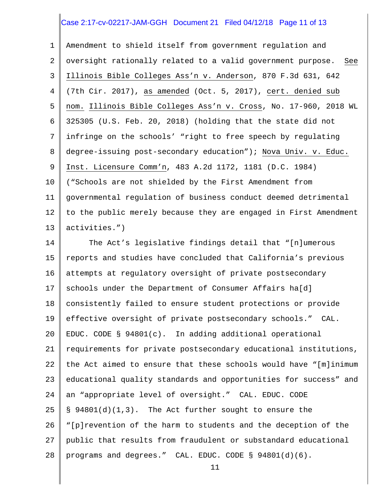## Case 2:17-cv-02217-JAM-GGH Document 21 Filed 04/12/18 Page 11 of 13

1 2 3 4 5 6 7 8 9 10 11 12 13 Amendment to shield itself from government regulation and oversight rationally related to a valid government purpose. See Illinois Bible Colleges Ass'n v. Anderson, 870 F.3d 631, 642 (7th Cir. 2017), as amended (Oct. 5, 2017), cert. denied sub nom. Illinois Bible Colleges Ass'n v. Cross, No. 17-960, 2018 WL 325305 (U.S. Feb. 20, 2018) (holding that the state did not infringe on the schools' "right to free speech by regulating degree-issuing post-secondary education"); Nova Univ. v. Educ. Inst. Licensure Comm'n, 483 A.2d 1172, 1181 (D.C. 1984) ("Schools are not shielded by the First Amendment from governmental regulation of business conduct deemed detrimental to the public merely because they are engaged in First Amendment activities.")

14 15 16 17 18 19 20 21 22 23 24 25 26 27 28 The Act's legislative findings detail that "[n]umerous reports and studies have concluded that California's previous attempts at regulatory oversight of private postsecondary schools under the Department of Consumer Affairs ha[d] consistently failed to ensure student protections or provide effective oversight of private postsecondary schools." CAL. EDUC. CODE § 94801(c). In adding additional operational requirements for private postsecondary educational institutions, the Act aimed to ensure that these schools would have "[m]inimum educational quality standards and opportunities for success" and an "appropriate level of oversight." CAL. EDUC. CODE  $\S$  94801(d)(1,3). The Act further sought to ensure the "[p]revention of the harm to students and the deception of the public that results from fraudulent or substandard educational programs and degrees." CAL. EDUC. CODE § 94801(d)(6).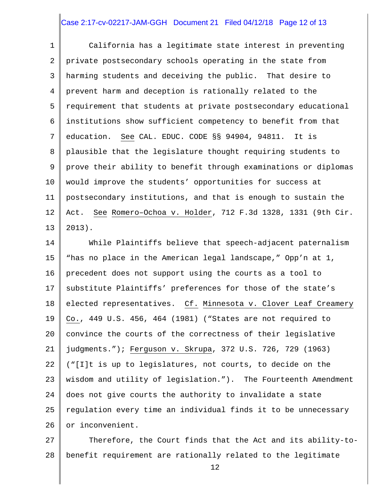#### Case 2:17-cv-02217-JAM-GGH Document 21 Filed 04/12/18 Page 12 of 13

1 2 3 4 5 6 7 8 9 10 11 12 13 California has a legitimate state interest in preventing private postsecondary schools operating in the state from harming students and deceiving the public. That desire to prevent harm and deception is rationally related to the requirement that students at private postsecondary educational institutions show sufficient competency to benefit from that education. See CAL. EDUC. CODE §§ 94904, 94811. It is plausible that the legislature thought requiring students to prove their ability to benefit through examinations or diplomas would improve the students' opportunities for success at postsecondary institutions, and that is enough to sustain the Act. See Romero–Ochoa v. Holder, 712 F.3d 1328, 1331 (9th Cir. 2013).

14 15 16 17 18 19 20 21 22 23 24 25 26 While Plaintiffs believe that speech-adjacent paternalism "has no place in the American legal landscape," Opp'n at 1, precedent does not support using the courts as a tool to substitute Plaintiffs' preferences for those of the state's elected representatives. Cf. Minnesota v. Clover Leaf Creamery Co., 449 U.S. 456, 464 (1981) ("States are not required to convince the courts of the correctness of their legislative judgments."); Ferguson v. Skrupa, 372 U.S. 726, 729 (1963) ("[I]t is up to legislatures, not courts, to decide on the wisdom and utility of legislation."). The Fourteenth Amendment does not give courts the authority to invalidate a state regulation every time an individual finds it to be unnecessary or inconvenient.

27 28 Therefore, the Court finds that the Act and its ability-tobenefit requirement are rationally related to the legitimate